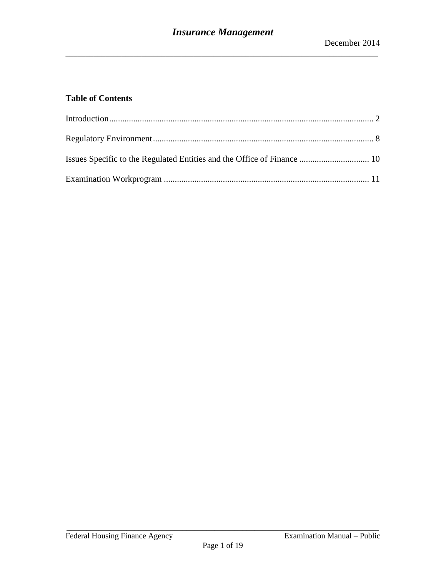# **Table of Contents**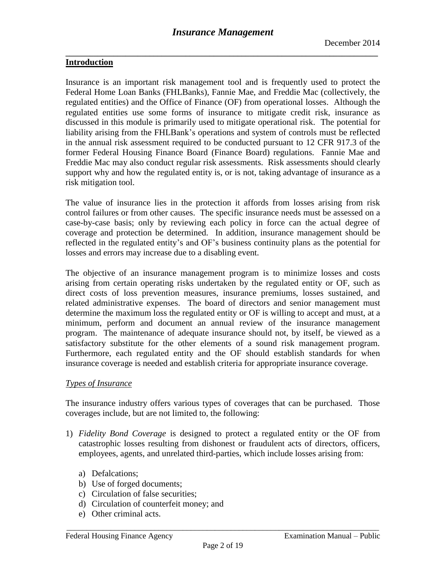#### <span id="page-1-0"></span>**Introduction**

Insurance is an important risk management tool and is frequently used to protect the Federal Home Loan Banks (FHLBanks), Fannie Mae, and Freddie Mac (collectively, the regulated entities) and the Office of Finance (OF) from operational losses. Although the regulated entities use some forms of insurance to mitigate credit risk, insurance as discussed in this module is primarily used to mitigate operational risk. The potential for liability arising from the FHLBank's operations and system of controls must be reflected in the annual risk assessment required to be conducted pursuant to 12 CFR 917.3 of the former Federal Housing Finance Board (Finance Board) regulations. Fannie Mae and Freddie Mac may also conduct regular risk assessments. Risk assessments should clearly support why and how the regulated entity is, or is not, taking advantage of insurance as a risk mitigation tool.

The value of insurance lies in the protection it affords from losses arising from risk control failures or from other causes. The specific insurance needs must be assessed on a case-by-case basis; only by reviewing each policy in force can the actual degree of coverage and protection be determined. In addition, insurance management should be reflected in the regulated entity's and OF's business continuity plans as the potential for losses and errors may increase due to a disabling event.

The objective of an insurance management program is to minimize losses and costs arising from certain operating risks undertaken by the regulated entity or OF, such as direct costs of loss prevention measures, insurance premiums, losses sustained, and related administrative expenses. The board of directors and senior management must determine the maximum loss the regulated entity or OF is willing to accept and must, at a minimum, perform and document an annual review of the insurance management program. The maintenance of adequate insurance should not, by itself, be viewed as a satisfactory substitute for the other elements of a sound risk management program. Furthermore, each regulated entity and the OF should establish standards for when insurance coverage is needed and establish criteria for appropriate insurance coverage.

#### *Types of Insurance*

The insurance industry offers various types of coverages that can be purchased. Those coverages include, but are not limited to, the following:

- 1) *Fidelity Bond Coverage* is designed to protect a regulated entity or the OF from catastrophic losses resulting from dishonest or fraudulent acts of directors, officers, employees, agents, and unrelated third-parties, which include losses arising from:
	- a) Defalcations;
	- b) Use of forged documents;
	- c) Circulation of false securities;
	- d) Circulation of counterfeit money; and
	- e) Other criminal acts.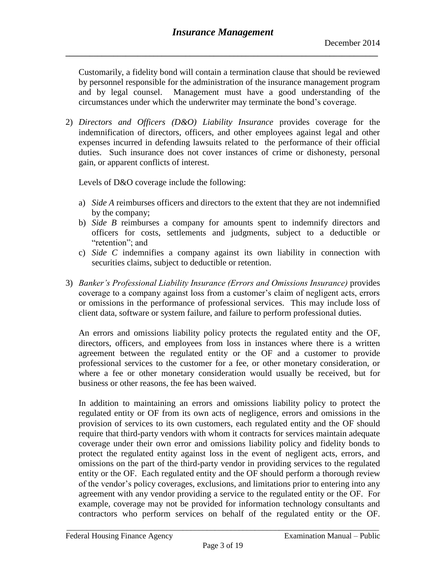Customarily, a fidelity bond will contain a termination clause that should be reviewed by personnel responsible for the administration of the insurance management program and by legal counsel. Management must have a good understanding of the circumstances under which the underwriter may terminate the bond's coverage.

2) *Directors and Officers (D&O) Liability Insurance* provides coverage for the indemnification of directors, officers, and other employees against legal and other expenses incurred in defending lawsuits related to the performance of their official duties. Such insurance does not cover instances of crime or dishonesty, personal gain, or apparent conflicts of interest.

Levels of D&O coverage include the following:

- a) *Side A* reimburses officers and directors to the extent that they are not indemnified by the company;
- b) *Side B* reimburses a company for amounts spent to indemnify directors and officers for costs, settlements and judgments, subject to a deductible or "retention"; and
- c) *Side C* indemnifies a company against its own liability in connection with securities claims, subject to deductible or retention.
- 3) *Banker's Professional Liability Insurance (Errors and Omissions Insurance)* provides coverage to a company against loss from a customer's claim of negligent acts, errors or omissions in the performance of professional services. This may include loss of client data, software or system failure, and failure to perform professional duties.

An errors and omissions liability policy protects the regulated entity and the OF, directors, officers, and employees from loss in instances where there is a written agreement between the regulated entity or the OF and a customer to provide professional services to the customer for a fee, or other monetary consideration, or where a fee or other monetary consideration would usually be received, but for business or other reasons, the fee has been waived.

In addition to maintaining an errors and omissions liability policy to protect the regulated entity or OF from its own acts of negligence, errors and omissions in the provision of services to its own customers, each regulated entity and the OF should require that third-party vendors with whom it contracts for services maintain adequate coverage under their own error and omissions liability policy and fidelity bonds to protect the regulated entity against loss in the event of negligent acts, errors, and omissions on the part of the third-party vendor in providing services to the regulated entity or the OF. Each regulated entity and the OF should perform a thorough review of the vendor's policy coverages, exclusions, and limitations prior to entering into any agreement with any vendor providing a service to the regulated entity or the OF. For example, coverage may not be provided for information technology consultants and contractors who perform services on behalf of the regulated entity or the OF.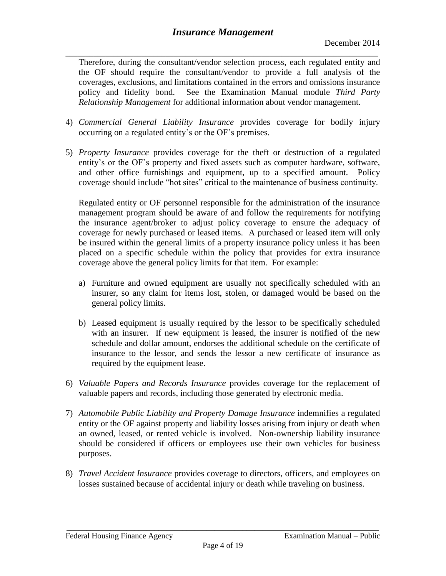**\_\_\_\_\_\_\_\_\_\_\_\_\_\_\_\_\_\_\_\_\_\_\_\_\_\_\_\_\_\_\_\_\_\_\_\_\_\_\_\_\_\_\_\_\_\_\_\_\_\_\_\_\_\_\_\_\_\_\_\_\_\_\_\_\_\_\_\_\_\_\_\_\_\_\_\_\_\_** Therefore, during the consultant/vendor selection process, each regulated entity and the OF should require the consultant/vendor to provide a full analysis of the coverages, exclusions, and limitations contained in the errors and omissions insurance policy and fidelity bond. See the Examination Manual module *Third Party Relationship Management* for additional information about vendor management.

- 4) *Commercial General Liability Insurance* provides coverage for bodily injury occurring on a regulated entity's or the OF's premises.
- 5) *Property Insurance* provides coverage for the theft or destruction of a regulated entity's or the OF's property and fixed assets such as computer hardware, software, and other office furnishings and equipment, up to a specified amount. Policy coverage should include "hot sites" critical to the maintenance of business continuity.

Regulated entity or OF personnel responsible for the administration of the insurance management program should be aware of and follow the requirements for notifying the insurance agent/broker to adjust policy coverage to ensure the adequacy of coverage for newly purchased or leased items. A purchased or leased item will only be insured within the general limits of a property insurance policy unless it has been placed on a specific schedule within the policy that provides for extra insurance coverage above the general policy limits for that item. For example:

- a) Furniture and owned equipment are usually not specifically scheduled with an insurer, so any claim for items lost, stolen, or damaged would be based on the general policy limits.
- b) Leased equipment is usually required by the lessor to be specifically scheduled with an insurer. If new equipment is leased, the insurer is notified of the new schedule and dollar amount, endorses the additional schedule on the certificate of insurance to the lessor, and sends the lessor a new certificate of insurance as required by the equipment lease.
- 6) *Valuable Papers and Records Insurance* provides coverage for the replacement of valuable papers and records, including those generated by electronic media.
- 7) *Automobile Public Liability and Property Damage Insurance* indemnifies a regulated entity or the OF against property and liability losses arising from injury or death when an owned, leased, or rented vehicle is involved. Non-ownership liability insurance should be considered if officers or employees use their own vehicles for business purposes.
- 8) *Travel Accident Insurance* provides coverage to directors, officers, and employees on losses sustained because of accidental injury or death while traveling on business.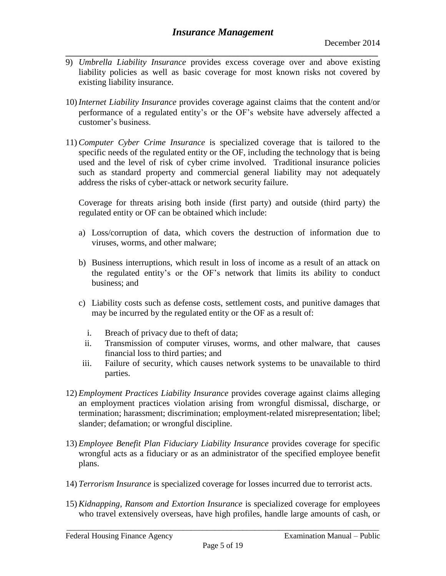- **\_\_\_\_\_\_\_\_\_\_\_\_\_\_\_\_\_\_\_\_\_\_\_\_\_\_\_\_\_\_\_\_\_\_\_\_\_\_\_\_\_\_\_\_\_\_\_\_\_\_\_\_\_\_\_\_\_\_\_\_\_\_\_\_\_\_\_\_\_\_\_\_\_\_\_\_\_\_** 9) *Umbrella Liability Insurance* provides excess coverage over and above existing liability policies as well as basic coverage for most known risks not covered by existing liability insurance.
- 10) *Internet Liability Insurance* provides coverage against claims that the content and/or performance of a regulated entity's or the OF's website have adversely affected a customer's business.
- 11)*Computer Cyber Crime Insurance* is specialized coverage that is tailored to the specific needs of the regulated entity or the OF, including the technology that is being used and the level of risk of cyber crime involved. Traditional insurance policies such as standard property and commercial general liability may not adequately address the risks of cyber-attack or network security failure.

Coverage for threats arising both inside (first party) and outside (third party) the regulated entity or OF can be obtained which include:

- a) Loss/corruption of data, which covers the destruction of information due to viruses, worms, and other malware;
- b) Business interruptions, which result in loss of income as a result of an attack on the regulated entity's or the OF's network that limits its ability to conduct business; and
- c) Liability costs such as defense costs, settlement costs, and punitive damages that may be incurred by the regulated entity or the OF as a result of:
	- i. Breach of privacy due to theft of data;
	- ii. Transmission of computer viruses, worms, and other malware, that causes financial loss to third parties; and
- iii. Failure of security, which causes network systems to be unavailable to third parties.
- 12) *Employment Practices Liability Insurance* provides coverage against claims alleging an employment practices violation arising from wrongful dismissal, discharge, or termination; harassment; discrimination; employment-related misrepresentation; libel; slander; defamation; or wrongful discipline.
- 13) *Employee Benefit Plan Fiduciary Liability Insurance* provides coverage for specific wrongful acts as a fiduciary or as an administrator of the specified employee benefit plans.
- 14) *Terrorism Insurance* is specialized coverage for losses incurred due to terrorist acts.
- 15)*Kidnapping, Ransom and Extortion Insurance* is specialized coverage for employees who travel extensively overseas, have high profiles, handle large amounts of cash, or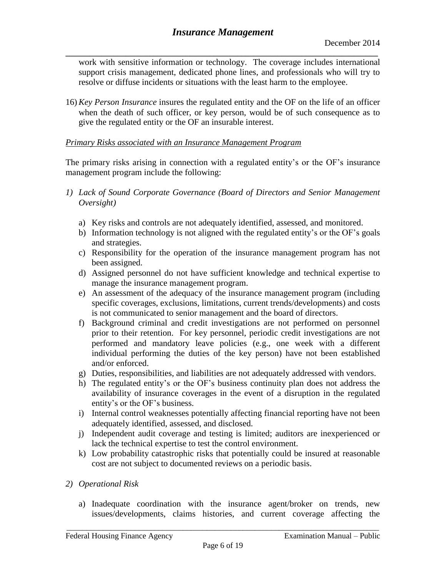**\_\_\_\_\_\_\_\_\_\_\_\_\_\_\_\_\_\_\_\_\_\_\_\_\_\_\_\_\_\_\_\_\_\_\_\_\_\_\_\_\_\_\_\_\_\_\_\_\_\_\_\_\_\_\_\_\_\_\_\_\_\_\_\_\_\_\_\_\_\_\_\_\_\_\_\_\_\_** work with sensitive information or technology. The coverage includes international support crisis management, dedicated phone lines, and professionals who will try to resolve or diffuse incidents or situations with the least harm to the employee.

16)*Key Person Insurance* insures the regulated entity and the OF on the life of an officer when the death of such officer, or key person, would be of such consequence as to give the regulated entity or the OF an insurable interest.

### *Primary Risks associated with an Insurance Management Program*

The primary risks arising in connection with a regulated entity's or the OF's insurance management program include the following:

- *1) Lack of Sound Corporate Governance (Board of Directors and Senior Management Oversight)*
	- a) Key risks and controls are not adequately identified, assessed, and monitored.
	- b) Information technology is not aligned with the regulated entity's or the OF's goals and strategies.
	- c) Responsibility for the operation of the insurance management program has not been assigned.
	- d) Assigned personnel do not have sufficient knowledge and technical expertise to manage the insurance management program.
	- e) An assessment of the adequacy of the insurance management program (including specific coverages, exclusions, limitations, current trends/developments) and costs is not communicated to senior management and the board of directors.
	- f) Background criminal and credit investigations are not performed on personnel prior to their retention. For key personnel, periodic credit investigations are not performed and mandatory leave policies (e.g., one week with a different individual performing the duties of the key person) have not been established and/or enforced.
	- g) Duties, responsibilities, and liabilities are not adequately addressed with vendors.
	- h) The regulated entity's or the OF's business continuity plan does not address the availability of insurance coverages in the event of a disruption in the regulated entity's or the OF's business.
	- i) Internal control weaknesses potentially affecting financial reporting have not been adequately identified, assessed, and disclosed.
	- j) Independent audit coverage and testing is limited; auditors are inexperienced or lack the technical expertise to test the control environment.
	- k) Low probability catastrophic risks that potentially could be insured at reasonable cost are not subject to documented reviews on a periodic basis.
- *2) Operational Risk*
	- a) Inadequate coordination with the insurance agent/broker on trends, new issues/developments, claims histories, and current coverage affecting the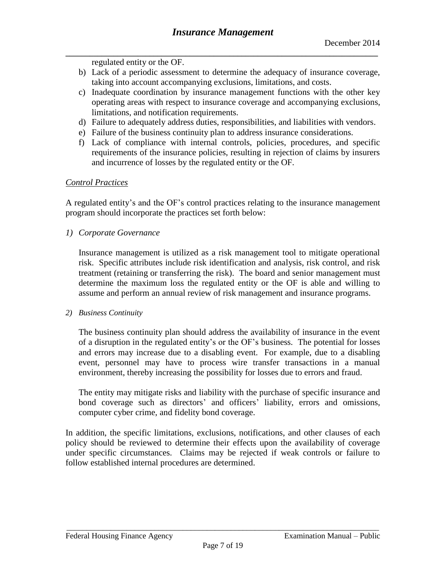regulated entity or the OF.

- b) Lack of a periodic assessment to determine the adequacy of insurance coverage, taking into account accompanying exclusions, limitations, and costs.
- c) Inadequate coordination by insurance management functions with the other key operating areas with respect to insurance coverage and accompanying exclusions, limitations, and notification requirements.
- d) Failure to adequately address duties, responsibilities, and liabilities with vendors.
- e) Failure of the business continuity plan to address insurance considerations.
- f) Lack of compliance with internal controls, policies, procedures, and specific requirements of the insurance policies, resulting in rejection of claims by insurers and incurrence of losses by the regulated entity or the OF.

## *Control Practices*

A regulated entity's and the OF's control practices relating to the insurance management program should incorporate the practices set forth below:

*1) Corporate Governance*

Insurance management is utilized as a risk management tool to mitigate operational risk. Specific attributes include risk identification and analysis, risk control, and risk treatment (retaining or transferring the risk). The board and senior management must determine the maximum loss the regulated entity or the OF is able and willing to assume and perform an annual review of risk management and insurance programs.

#### *2) Business Continuity*

The business continuity plan should address the availability of insurance in the event of a disruption in the regulated entity's or the OF's business. The potential for losses and errors may increase due to a disabling event. For example, due to a disabling event, personnel may have to process wire transfer transactions in a manual environment, thereby increasing the possibility for losses due to errors and fraud.

The entity may mitigate risks and liability with the purchase of specific insurance and bond coverage such as directors' and officers' liability, errors and omissions, computer cyber crime, and fidelity bond coverage.

In addition, the specific limitations, exclusions, notifications, and other clauses of each policy should be reviewed to determine their effects upon the availability of coverage under specific circumstances. Claims may be rejected if weak controls or failure to follow established internal procedures are determined.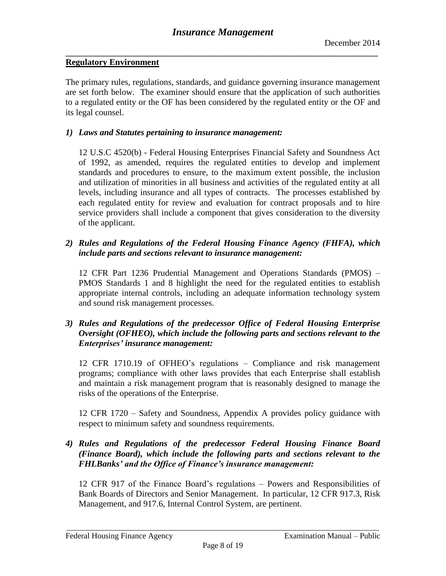#### <span id="page-7-0"></span>**Regulatory Environment**

The primary rules, regulations, standards, and guidance governing insurance management are set forth below. The examiner should ensure that the application of such authorities to a regulated entity or the OF has been considered by the regulated entity or the OF and its legal counsel.

#### *1) Laws and Statutes pertaining to insurance management:*

12 U.S.C 4520(b) - Federal Housing Enterprises Financial Safety and Soundness Act of 1992, as amended, requires the regulated entities to develop and implement standards and procedures to ensure, to the maximum extent possible, the inclusion and utilization of minorities in all business and activities of the regulated entity at all levels, including insurance and all types of contracts. The processes established by each regulated entity for review and evaluation for contract proposals and to hire service providers shall include a component that gives consideration to the diversity of the applicant.

### *2) Rules and Regulations of the Federal Housing Finance Agency (FHFA), which include parts and sections relevant to insurance management:*

12 CFR Part 1236 Prudential Management and Operations Standards (PMOS) – PMOS Standards 1 and 8 highlight the need for the regulated entities to establish appropriate internal controls, including an adequate information technology system and sound risk management processes.

### *3) Rules and Regulations of the predecessor Office of Federal Housing Enterprise Oversight (OFHEO), which include the following parts and sections relevant to the Enterprises' insurance management:*

12 CFR 1710.19 of OFHEO's regulations – Compliance and risk management programs; compliance with other laws provides that each Enterprise shall establish and maintain a risk management program that is reasonably designed to manage the risks of the operations of the Enterprise.

12 CFR 1720 – Safety and Soundness, Appendix A provides policy guidance with respect to minimum safety and soundness requirements.

### *4) Rules and Regulations of the predecessor Federal Housing Finance Board (Finance Board), which include the following parts and sections relevant to the FHLBanks' and the Office of Finance's insurance management:*

12 CFR 917 of the Finance Board's regulations – Powers and Responsibilities of Bank Boards of Directors and Senior Management. In particular, 12 CFR 917.3, Risk Management, and 917.6, Internal Control System, are pertinent.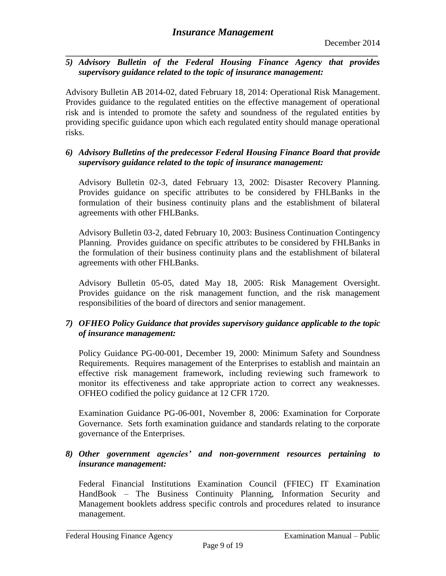**\_\_\_\_\_\_\_\_\_\_\_\_\_\_\_\_\_\_\_\_\_\_\_\_\_\_\_\_\_\_\_\_\_\_\_\_\_\_\_\_\_\_\_\_\_\_\_\_\_\_\_\_\_\_\_\_\_\_\_\_\_\_\_\_\_\_\_\_\_\_\_\_\_\_\_\_\_\_** *5) Advisory Bulletin of the Federal Housing Finance Agency that provides supervisory guidance related to the topic of insurance management:*

Advisory Bulletin AB 2014-02, dated February 18, 2014: Operational Risk Management. Provides guidance to the regulated entities on the effective management of operational risk and is intended to promote the safety and soundness of the regulated entities by providing specific guidance upon which each regulated entity should manage operational risks.

### *6) Advisory Bulletins of the predecessor Federal Housing Finance Board that provide supervisory guidance related to the topic of insurance management:*

Advisory Bulletin 02-3, dated February 13, 2002: Disaster Recovery Planning. Provides guidance on specific attributes to be considered by FHLBanks in the formulation of their business continuity plans and the establishment of bilateral agreements with other FHLBanks.

Advisory Bulletin 03-2, dated February 10, 2003: Business Continuation Contingency Planning. Provides guidance on specific attributes to be considered by FHLBanks in the formulation of their business continuity plans and the establishment of bilateral agreements with other FHLBanks.

Advisory Bulletin 05-05, dated May 18, 2005: Risk Management Oversight. Provides guidance on the risk management function, and the risk management responsibilities of the board of directors and senior management.

## *7) OFHEO Policy Guidance that provides supervisory guidance applicable to the topic of insurance management:*

Policy Guidance PG-00-001, December 19, 2000: Minimum Safety and Soundness Requirements. Requires management of the Enterprises to establish and maintain an effective risk management framework, including reviewing such framework to monitor its effectiveness and take appropriate action to correct any weaknesses. OFHEO codified the policy guidance at 12 CFR 1720.

Examination Guidance PG-06-001, November 8, 2006: Examination for Corporate Governance. Sets forth examination guidance and standards relating to the corporate governance of the Enterprises.

## *8) Other government agencies' and non-government resources pertaining to insurance management:*

Federal Financial Institutions Examination Council (FFIEC) IT Examination HandBook – The Business Continuity Planning, Information Security and Management booklets address specific controls and procedures related to insurance management.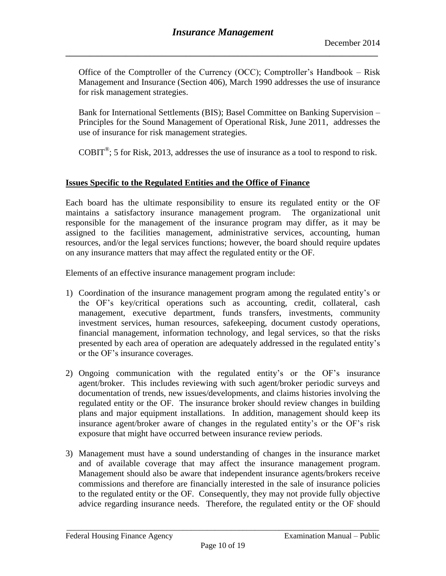Office of the Comptroller of the Currency (OCC); Comptroller's Handbook – Risk Management and Insurance (Section 406), March 1990 addresses the use of insurance for risk management strategies.

Bank for International Settlements (BIS); Basel Committee on Banking Supervision – Principles for the Sound Management of Operational Risk, June 2011, addresses the use of insurance for risk management strategies.

 $COBIT<sup>®</sup>$ ; 5 for Risk, 2013, addresses the use of insurance as a tool to respond to risk.

## <span id="page-9-0"></span>**Issues Specific to the Regulated Entities and the Office of Finance**

Each board has the ultimate responsibility to ensure its regulated entity or the OF maintains a satisfactory insurance management program. The organizational unit responsible for the management of the insurance program may differ, as it may be assigned to the facilities management, administrative services, accounting, human resources, and/or the legal services functions; however, the board should require updates on any insurance matters that may affect the regulated entity or the OF.

Elements of an effective insurance management program include:

- 1) Coordination of the insurance management program among the regulated entity's or the OF's key/critical operations such as accounting, credit, collateral, cash management, executive department, funds transfers, investments, community investment services, human resources, safekeeping, document custody operations, financial management, information technology, and legal services, so that the risks presented by each area of operation are adequately addressed in the regulated entity's or the OF's insurance coverages.
- 2) Ongoing communication with the regulated entity's or the OF's insurance agent/broker. This includes reviewing with such agent/broker periodic surveys and documentation of trends, new issues/developments, and claims histories involving the regulated entity or the OF. The insurance broker should review changes in building plans and major equipment installations. In addition, management should keep its insurance agent/broker aware of changes in the regulated entity's or the OF's risk exposure that might have occurred between insurance review periods.
- 3) Management must have a sound understanding of changes in the insurance market and of available coverage that may affect the insurance management program. Management should also be aware that independent insurance agents/brokers receive commissions and therefore are financially interested in the sale of insurance policies to the regulated entity or the OF. Consequently, they may not provide fully objective advice regarding insurance needs. Therefore, the regulated entity or the OF should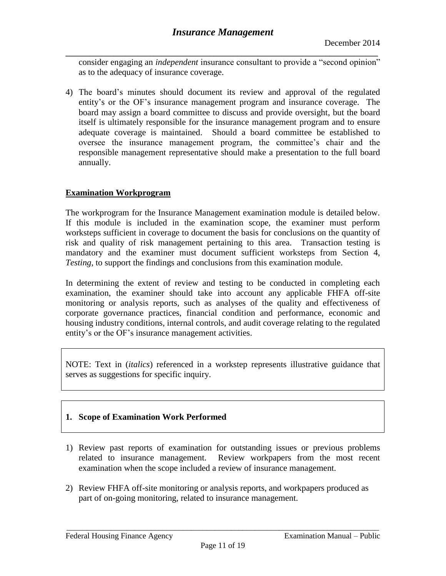consider engaging an *independent* insurance consultant to provide a "second opinion" as to the adequacy of insurance coverage.

4) The board's minutes should document its review and approval of the regulated entity's or the OF's insurance management program and insurance coverage. The board may assign a board committee to discuss and provide oversight, but the board itself is ultimately responsible for the insurance management program and to ensure adequate coverage is maintained. Should a board committee be established to oversee the insurance management program, the committee's chair and the responsible management representative should make a presentation to the full board annually.

#### <span id="page-10-0"></span>**Examination Workprogram**

The workprogram for the Insurance Management examination module is detailed below. If this module is included in the examination scope, the examiner must perform worksteps sufficient in coverage to document the basis for conclusions on the quantity of risk and quality of risk management pertaining to this area. Transaction testing is mandatory and the examiner must document sufficient worksteps from Section 4, *Testing*, to support the findings and conclusions from this examination module.

In determining the extent of review and testing to be conducted in completing each examination, the examiner should take into account any applicable FHFA off-site monitoring or analysis reports, such as analyses of the quality and effectiveness of corporate governance practices, financial condition and performance, economic and housing industry conditions, internal controls, and audit coverage relating to the regulated entity's or the OF's insurance management activities.

NOTE: Text in (*italics*) referenced in a workstep represents illustrative guidance that serves as suggestions for specific inquiry.

## **1. Scope of Examination Work Performed**

- 1) Review past reports of examination for outstanding issues or previous problems related to insurance management. Review workpapers from the most recent examination when the scope included a review of insurance management.
- 2) Review FHFA off-site monitoring or analysis reports, and workpapers produced as part of on-going monitoring, related to insurance management.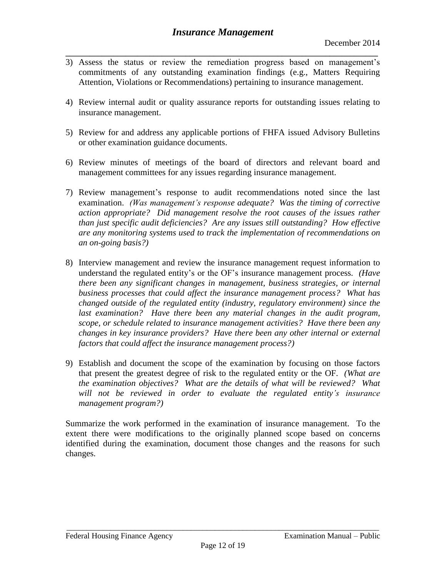- **\_\_\_\_\_\_\_\_\_\_\_\_\_\_\_\_\_\_\_\_\_\_\_\_\_\_\_\_\_\_\_\_\_\_\_\_\_\_\_\_\_\_\_\_\_\_\_\_\_\_\_\_\_\_\_\_\_\_\_\_\_\_\_\_\_\_\_\_\_\_\_\_\_\_\_\_\_\_** 3) Assess the status or review the remediation progress based on management's commitments of any outstanding examination findings (e.g., Matters Requiring Attention, Violations or Recommendations) pertaining to insurance management.
- 4) Review internal audit or quality assurance reports for outstanding issues relating to insurance management.
- 5) Review for and address any applicable portions of FHFA issued Advisory Bulletins or other examination guidance documents.
- 6) Review minutes of meetings of the board of directors and relevant board and management committees for any issues regarding insurance management.
- 7) Review management's response to audit recommendations noted since the last examination. *(Was management's response adequate? Was the timing of corrective action appropriate? Did management resolve the root causes of the issues rather than just specific audit deficiencies? Are any issues still outstanding? How effective are any monitoring systems used to track the implementation of recommendations on an on-going basis?)*
- 8) Interview management and review the insurance management request information to understand the regulated entity's or the OF's insurance management process. *(Have there been any significant changes in management, business strategies, or internal business processes that could affect the insurance management process? What has changed outside of the regulated entity (industry, regulatory environment) since the*  last examination? Have there been any material changes in the audit program, *scope, or schedule related to insurance management activities? Have there been any changes in key insurance providers? Have there been any other internal or external factors that could affect the insurance management process?)*
- 9) Establish and document the scope of the examination by focusing on those factors that present the greatest degree of risk to the regulated entity or the OF. *(What are the examination objectives? What are the details of what will be reviewed? What will not be reviewed in order to evaluate the regulated entity's insurance management program?)*

Summarize the work performed in the examination of insurance management. To the extent there were modifications to the originally planned scope based on concerns identified during the examination, document those changes and the reasons for such changes.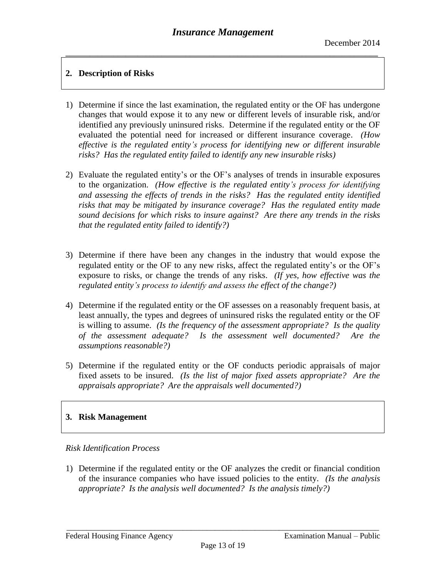## **2. Description of Risks**

- 1) Determine if since the last examination, the regulated entity or the OF has undergone changes that would expose it to any new or different levels of insurable risk, and/or identified any previously uninsured risks. Determine if the regulated entity or the OF evaluated the potential need for increased or different insurance coverage. *(How effective is the regulated entity's process for identifying new or different insurable risks? Has the regulated entity failed to identify any new insurable risks)*
- 2) Evaluate the regulated entity's or the OF's analyses of trends in insurable exposures to the organization. *(How effective is the regulated entity's process for identifying and assessing the effects of trends in the risks? Has the regulated entity identified risks that may be mitigated by insurance coverage? Has the regulated entity made sound decisions for which risks to insure against? Are there any trends in the risks that the regulated entity failed to identify?)*
- 3) Determine if there have been any changes in the industry that would expose the regulated entity or the OF to any new risks, affect the regulated entity's or the OF's exposure to risks, or change the trends of any risks. *(If yes, how effective was the regulated entity's process to identify and assess the effect of the change?)*
- 4) Determine if the regulated entity or the OF assesses on a reasonably frequent basis, at least annually, the types and degrees of uninsured risks the regulated entity or the OF is willing to assume. *(Is the frequency of the assessment appropriate? Is the quality of the assessment adequate? Is the assessment well documented? Are the assumptions reasonable?)*
- 5) Determine if the regulated entity or the OF conducts periodic appraisals of major fixed assets to be insured. *(Is the list of major fixed assets appropriate? Are the appraisals appropriate? Are the appraisals well documented?)*

# **3. Risk Management**

## *Risk Identification Process*

1) Determine if the regulated entity or the OF analyzes the credit or financial condition of the insurance companies who have issued policies to the entity. *(Is the analysis appropriate? Is the analysis well documented? Is the analysis timely?)*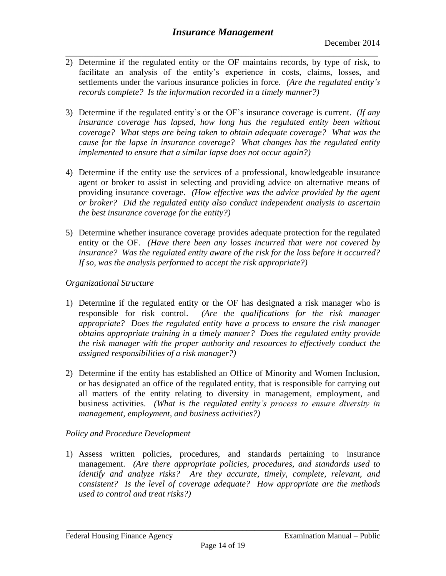- **\_\_\_\_\_\_\_\_\_\_\_\_\_\_\_\_\_\_\_\_\_\_\_\_\_\_\_\_\_\_\_\_\_\_\_\_\_\_\_\_\_\_\_\_\_\_\_\_\_\_\_\_\_\_\_\_\_\_\_\_\_\_\_\_\_\_\_\_\_\_\_\_\_\_\_\_\_\_** 2) Determine if the regulated entity or the OF maintains records, by type of risk, to facilitate an analysis of the entity's experience in costs, claims, losses, and settlements under the various insurance policies in force. *(Are the regulated entity's records complete? Is the information recorded in a timely manner?)*
- 3) Determine if the regulated entity's or the OF's insurance coverage is current. *(If any insurance coverage has lapsed, how long has the regulated entity been without coverage? What steps are being taken to obtain adequate coverage? What was the cause for the lapse in insurance coverage? What changes has the regulated entity implemented to ensure that a similar lapse does not occur again?)*
- 4) Determine if the entity use the services of a professional, knowledgeable insurance agent or broker to assist in selecting and providing advice on alternative means of providing insurance coverage. *(How effective was the advice provided by the agent or broker? Did the regulated entity also conduct independent analysis to ascertain the best insurance coverage for the entity?)*
- 5) Determine whether insurance coverage provides adequate protection for the regulated entity or the OF. *(Have there been any losses incurred that were not covered by insurance? Was the regulated entity aware of the risk for the loss before it occurred? If so, was the analysis performed to accept the risk appropriate?)*

## *Organizational Structure*

- 1) Determine if the regulated entity or the OF has designated a risk manager who is responsible for risk control. *(Are the qualifications for the risk manager appropriate? Does the regulated entity have a process to ensure the risk manager obtains appropriate training in a timely manner? Does the regulated entity provide the risk manager with the proper authority and resources to effectively conduct the assigned responsibilities of a risk manager?)*
- 2) Determine if the entity has established an Office of Minority and Women Inclusion, or has designated an office of the regulated entity, that is responsible for carrying out all matters of the entity relating to diversity in management, employment, and business activities. *(What is the regulated entity's process to ensure diversity in management, employment, and business activities?)*

## *Policy and Procedure Development*

1) Assess written policies, procedures, and standards pertaining to insurance management. *(Are there appropriate policies, procedures, and standards used to identify and analyze risks? Are they accurate, timely, complete, relevant, and consistent? Is the level of coverage adequate? How appropriate are the methods used to control and treat risks?)*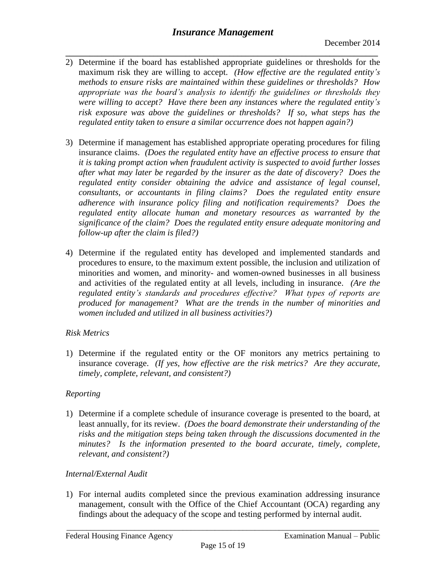- **\_\_\_\_\_\_\_\_\_\_\_\_\_\_\_\_\_\_\_\_\_\_\_\_\_\_\_\_\_\_\_\_\_\_\_\_\_\_\_\_\_\_\_\_\_\_\_\_\_\_\_\_\_\_\_\_\_\_\_\_\_\_\_\_\_\_\_\_\_\_\_\_\_\_\_\_\_\_** 2) Determine if the board has established appropriate guidelines or thresholds for the maximum risk they are willing to accept. *(How effective are the regulated entity's methods to ensure risks are maintained within these guidelines or thresholds? How appropriate was the board's analysis to identify the guidelines or thresholds they were willing to accept? Have there been any instances where the regulated entity's risk exposure was above the guidelines or thresholds? If so, what steps has the regulated entity taken to ensure a similar occurrence does not happen again?)*
- 3) Determine if management has established appropriate operating procedures for filing insurance claims. *(Does the regulated entity have an effective process to ensure that it is taking prompt action when fraudulent activity is suspected to avoid further losses after what may later be regarded by the insurer as the date of discovery? Does the regulated entity consider obtaining the advice and assistance of legal counsel, consultants, or accountants in filing claims? Does the regulated entity ensure adherence with insurance policy filing and notification requirements? Does the regulated entity allocate human and monetary resources as warranted by the significance of the claim? Does the regulated entity ensure adequate monitoring and follow-up after the claim is filed?)*
- 4) Determine if the regulated entity has developed and implemented standards and procedures to ensure, to the maximum extent possible, the inclusion and utilization of minorities and women, and minority- and women-owned businesses in all business and activities of the regulated entity at all levels, including in insurance. *(Are the regulated entity's standards and procedures effective? What types of reports are produced for management? What are the trends in the number of minorities and women included and utilized in all business activities?)*

# *Risk Metrics*

1) Determine if the regulated entity or the OF monitors any metrics pertaining to insurance coverage. *(If yes, how effective are the risk metrics? Are they accurate, timely, complete, relevant, and consistent?)*

# *Reporting*

1) Determine if a complete schedule of insurance coverage is presented to the board, at least annually, for its review. *(Does the board demonstrate their understanding of the risks and the mitigation steps being taken through the discussions documented in the minutes? Is the information presented to the board accurate, timely, complete, relevant, and consistent?)*

## *Internal/External Audit*

1) For internal audits completed since the previous examination addressing insurance management, consult with the Office of the Chief Accountant (OCA) regarding any findings about the adequacy of the scope and testing performed by internal audit.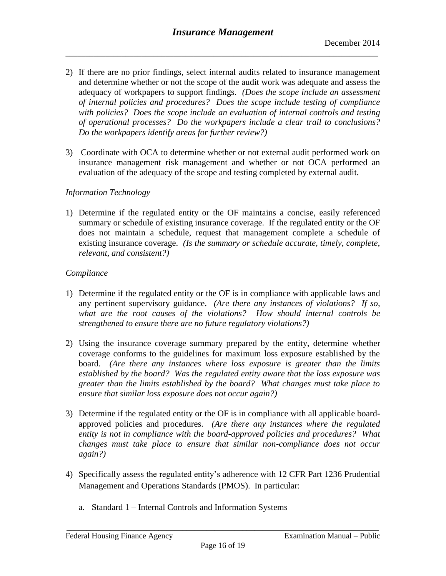- 2) If there are no prior findings, select internal audits related to insurance management and determine whether or not the scope of the audit work was adequate and assess the adequacy of workpapers to support findings. *(Does the scope include an assessment of internal policies and procedures? Does the scope include testing of compliance with policies? Does the scope include an evaluation of internal controls and testing of operational processes? Do the workpapers include a clear trail to conclusions? Do the workpapers identify areas for further review?)*
- 3) Coordinate with OCA to determine whether or not external audit performed work on insurance management risk management and whether or not OCA performed an evaluation of the adequacy of the scope and testing completed by external audit.

#### *Information Technology*

1) Determine if the regulated entity or the OF maintains a concise, easily referenced summary or schedule of existing insurance coverage. If the regulated entity or the OF does not maintain a schedule, request that management complete a schedule of existing insurance coverage. *(Is the summary or schedule accurate, timely, complete, relevant, and consistent?)*

#### *Compliance*

- 1) Determine if the regulated entity or the OF is in compliance with applicable laws and any pertinent supervisory guidance. *(Are there any instances of violations? If so, what are the root causes of the violations? How should internal controls be strengthened to ensure there are no future regulatory violations?)*
- 2) Using the insurance coverage summary prepared by the entity, determine whether coverage conforms to the guidelines for maximum loss exposure established by the board. *(Are there any instances where loss exposure is greater than the limits established by the board? Was the regulated entity aware that the loss exposure was greater than the limits established by the board? What changes must take place to ensure that similar loss exposure does not occur again?)*
- 3) Determine if the regulated entity or the OF is in compliance with all applicable boardapproved policies and procedures. *(Are there any instances where the regulated entity is not in compliance with the board-approved policies and procedures? What changes must take place to ensure that similar non-compliance does not occur again?)*
- 4) Specifically assess the regulated entity's adherence with 12 CFR Part 1236 Prudential Management and Operations Standards (PMOS). In particular:
	- a. Standard 1 Internal Controls and Information Systems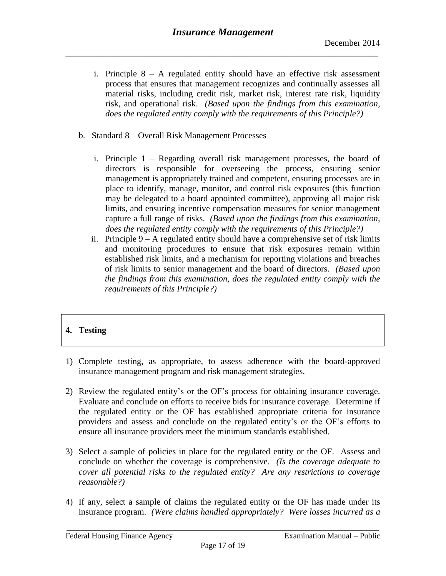- i. Principle  $8 A$  regulated entity should have an effective risk assessment process that ensures that management recognizes and continually assesses all material risks, including credit risk, market risk, interest rate risk, liquidity risk, and operational risk. *(Based upon the findings from this examination, does the regulated entity comply with the requirements of this Principle?)*
- b. Standard 8 Overall Risk Management Processes
	- i. Principle 1 Regarding overall risk management processes, the board of directors is responsible for overseeing the process, ensuring senior management is appropriately trained and competent, ensuring processes are in place to identify, manage, monitor, and control risk exposures (this function may be delegated to a board appointed committee), approving all major risk limits, and ensuring incentive compensation measures for senior management capture a full range of risks. *(Based upon the findings from this examination, does the regulated entity comply with the requirements of this Principle?)*
	- ii. Principle  $9 A$  regulated entity should have a comprehensive set of risk limits and monitoring procedures to ensure that risk exposures remain within established risk limits, and a mechanism for reporting violations and breaches of risk limits to senior management and the board of directors. *(Based upon the findings from this examination, does the regulated entity comply with the requirements of this Principle?)*

# **4. Testing**

- 1) Complete testing, as appropriate, to assess adherence with the board-approved insurance management program and risk management strategies.
- 2) Review the regulated entity's or the OF's process for obtaining insurance coverage. Evaluate and conclude on efforts to receive bids for insurance coverage. Determine if the regulated entity or the OF has established appropriate criteria for insurance providers and assess and conclude on the regulated entity's or the OF's efforts to ensure all insurance providers meet the minimum standards established.
- 3) Select a sample of policies in place for the regulated entity or the OF. Assess and conclude on whether the coverage is comprehensive. *(Is the coverage adequate to cover all potential risks to the regulated entity? Are any restrictions to coverage reasonable?)*
- 4) If any, select a sample of claims the regulated entity or the OF has made under its insurance program. *(Were claims handled appropriately? Were losses incurred as a*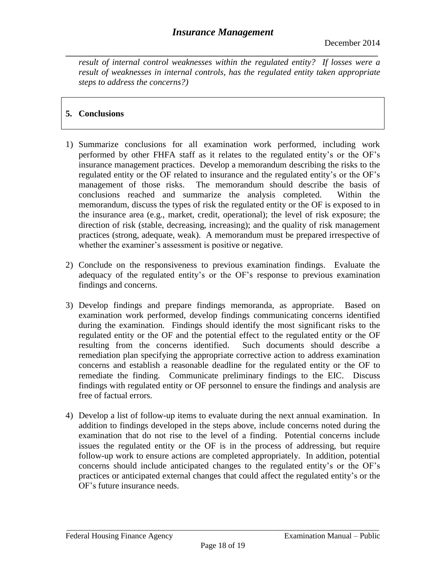**\_\_\_\_\_\_\_\_\_\_\_\_\_\_\_\_\_\_\_\_\_\_\_\_\_\_\_\_\_\_\_\_\_\_\_\_\_\_\_\_\_\_\_\_\_\_\_\_\_\_\_\_\_\_\_\_\_\_\_\_\_\_\_\_\_\_\_\_\_\_\_\_\_\_\_\_\_\_** *result of internal control weaknesses within the regulated entity? If losses were a result of weaknesses in internal controls, has the regulated entity taken appropriate steps to address the concerns?)*

# **5. Conclusions**

- 1) Summarize conclusions for all examination work performed, including work performed by other FHFA staff as it relates to the regulated entity's or the OF's insurance management practices. Develop a memorandum describing the risks to the regulated entity or the OF related to insurance and the regulated entity's or the OF's management of those risks. The memorandum should describe the basis of conclusions reached and summarize the analysis completed. Within the memorandum, discuss the types of risk the regulated entity or the OF is exposed to in the insurance area (e.g., market, credit, operational); the level of risk exposure; the direction of risk (stable, decreasing, increasing); and the quality of risk management practices (strong, adequate, weak). A memorandum must be prepared irrespective of whether the examiner's assessment is positive or negative.
- 2) Conclude on the responsiveness to previous examination findings. Evaluate the adequacy of the regulated entity's or the OF's response to previous examination findings and concerns.
- 3) Develop findings and prepare findings memoranda, as appropriate. Based on examination work performed, develop findings communicating concerns identified during the examination. Findings should identify the most significant risks to the regulated entity or the OF and the potential effect to the regulated entity or the OF resulting from the concerns identified. Such documents should describe a remediation plan specifying the appropriate corrective action to address examination concerns and establish a reasonable deadline for the regulated entity or the OF to remediate the finding. Communicate preliminary findings to the EIC. Discuss findings with regulated entity or OF personnel to ensure the findings and analysis are free of factual errors.
- 4) Develop a list of follow-up items to evaluate during the next annual examination. In addition to findings developed in the steps above, include concerns noted during the examination that do not rise to the level of a finding. Potential concerns include issues the regulated entity or the OF is in the process of addressing, but require follow-up work to ensure actions are completed appropriately. In addition, potential concerns should include anticipated changes to the regulated entity's or the OF's practices or anticipated external changes that could affect the regulated entity's or the OF's future insurance needs.